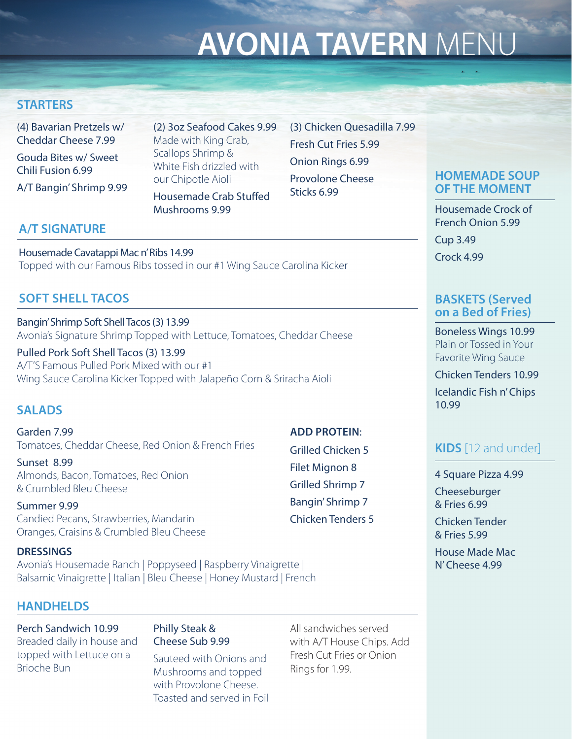# **AVONIA TAVERN MENU**

### **STARTERS**

(4) Bavarian Pretzels w/ Cheddar Cheese 7.99 Gouda Bites w/ Sweet Chili Fusion 6.99

A/T Bangin' Shrimp 9.99

(2) 3oz Seafood Cakes 9.99 Made with King Crab, Scallops Shrimp & White Fish drizzled with our Chipotle Aioli Housemade Crab Stuffed

(3) Chicken Quesadilla 7.99 Fresh Cut Fries 5.99 Onion Rings 6.99 Provolone Cheese Sticks 6.99

## **A/T SIGNATURE**

Housemade Cavatappi Mac n' Ribs 14.99 Topped with our Famous Ribs tossed in our #1 Wing Sauce Carolina Kicker

Mushrooms 9.99

#### **SOFT SHELL TACOS**

Bangin' Shrimp Soft Shell Tacos (3) 13.99 Avonia's Signature Shrimp Topped with Lettuce, Tomatoes, Cheddar Cheese

Pulled Pork Soft Shell Tacos (3) 13.99 A/T'S Famous Pulled Pork Mixed with our #1 Wing Sauce Carolina Kicker Topped with Jalapeño Corn & Sriracha Aioli

#### **SALADS**

Garden 7.99 Tomatoes, Cheddar Cheese, Red Onion & French Fries

Sunset 8.99 Almonds, Bacon, Tomatoes, Red Onion & Crumbled Bleu Cheese

Summer 9.99 Candied Pecans, Strawberries, Mandarin Oranges, Craisins & Crumbled Bleu Cheese

#### **DRESSINGS**

Avonia's Housemade Ranch | Poppyseed | Raspberry Vinaigrette | Balsamic Vinaigrette | Italian | Bleu Cheese | Honey Mustard | French

#### **HANDHELDS**

Perch Sandwich 10.99 Breaded daily in house and topped with Lettuce on a Brioche Bun

#### Philly Steak & Cheese Sub 9.99

Sauteed with Onions and Mushrooms and topped with Provolone Cheese. Toasted and served in Foil All sandwiches served with A/T House Chips. Add Fresh Cut Fries or Onion Rings for 1.99.

#### **HOMEMADE SOUP OF THE MOMENT**

Housemade Crock of French Onion 5.99

Cup 3.49 Crock 4.99

#### **BASKETS (Served on a Bed of Fries)**

Boneless Wings 10.99 Plain or Tossed in Your Favorite Wing Sauce

Chicken Tenders 10.99 Icelandic Fish n' Chips 10.99

# **KIDS** [12 and under]

4 Square Pizza 4.99

Cheeseburger & Fries 6.99

Chicken Tender & Fries 5.99

House Made Mac N' Cheese 4.99

Grilled Chicken 5 Filet Mignon 8 Grilled Shrimp 7 Bangin' Shrimp 7

**ADD PROTEIN**:

Chicken Tenders 5